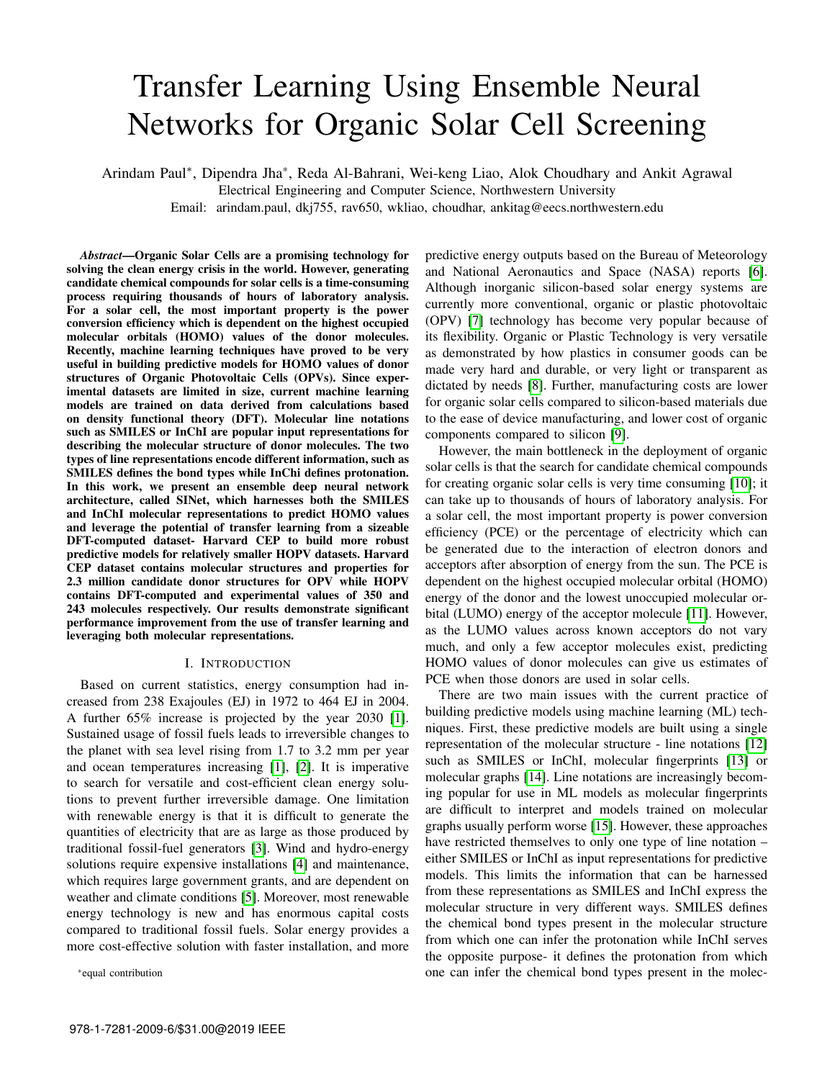# Transfer Learning Using Ensemble Neural Networks for Organic Solar Cell Screening

Arindam Paul<sup>∗</sup> , Dipendra Jha\*, Reda Al-Bahrani, Wei-keng Liao, Alok Choudhary and Ankit Agrawal

Electrical Engineering and Computer Science, Northwestern University

Email: arindam.paul, dkj755, rav650, wkliao, choudhar, ankitag@eecs.northwestern.edu

*Abstract*—Organic Solar Cells are a promising technology for solving the clean energy crisis in the world. However, generating candidate chemical compounds for solar cells is a time-consuming process requiring thousands of hours of laboratory analysis. For a solar cell, the most important property is the power conversion efficiency which is dependent on the highest occupied molecular orbitals (HOMO) values of the donor molecules. Recently, machine learning techniques have proved to be very useful in building predictive models for HOMO values of donor structures of Organic Photovoltaic Cells (OPVs). Since experimental datasets are limited in size, current machine learning models are trained on data derived from calculations based on density functional theory (DFT). Molecular line notations such as SMILES or InChI are popular input representations for describing the molecular structure of donor molecules. The two types of line representations encode different information, such as SMILES defines the bond types while InChi defines protonation. In this work, we present an ensemble deep neural network architecture, called SINet, which harnesses both the SMILES and InChI molecular representations to predict HOMO values and leverage the potential of transfer learning from a sizeable DFT-computed dataset- Harvard CEP to build more robust predictive models for relatively smaller HOPV datasets. Harvard CEP dataset contains molecular structures and properties for 2.3 million candidate donor structures for OPV while HOPV contains DFT-computed and experimental values of 350 and 243 molecules respectively. Our results demonstrate significant performance improvement from the use of transfer learning and leveraging both molecular representations.

## I. INTRODUCTION

Based on current statistics, energy consumption had increased from 238 Exajoules (EJ) in 1972 to 464 EJ in 2004. A further 65% increase is projected by the year 2030 [\[1\]](#page-6-0). Sustained usage of fossil fuels leads to irreversible changes to the planet with sea level rising from 1.7 to 3.2 mm per year and ocean temperatures increasing [\[1\]](#page-6-0), [\[2\]](#page-6-1). It is imperative to search for versatile and cost-efficient clean energy solutions to prevent further irreversible damage. One limitation with renewable energy is that it is difficult to generate the quantities of electricity that are as large as those produced by traditional fossil-fuel generators [\[3\]](#page-6-2). Wind and hydro-energy solutions require expensive installations [\[4\]](#page-6-3) and maintenance, which requires large government grants, and are dependent on weather and climate conditions [\[5\]](#page-6-4). Moreover, most renewable energy technology is new and has enormous capital costs compared to traditional fossil fuels. Solar energy provides a more cost-effective solution with faster installation, and more

\*equal contribution

predictive energy outputs based on the Bureau of Meteorology and National Aeronautics and Space (NASA) reports [\[6\]](#page-6-5). Although inorganic silicon-based solar energy systems are currently more conventional, organic or plastic photovoltaic (OPV) [\[7\]](#page-6-6) technology has become very popular because of its flexibility. Organic or Plastic Technology is very versatile as demonstrated by how plastics in consumer goods can be made very hard and durable, or very light or transparent as dictated by needs [\[8\]](#page-7-0). Further, manufacturing costs are lower for organic solar cells compared to silicon-based materials due to the ease of device manufacturing, and lower cost of organic components compared to silicon [\[9\]](#page-7-1).

However, the main bottleneck in the deployment of organic solar cells is that the search for candidate chemical compounds for creating organic solar cells is very time consuming [\[10\]](#page-7-2); it can take up to thousands of hours of laboratory analysis. For a solar cell, the most important property is power conversion efficiency (PCE) or the percentage of electricity which can be generated due to the interaction of electron donors and acceptors after absorption of energy from the sun. The PCE is dependent on the highest occupied molecular orbital (HOMO) energy of the donor and the lowest unoccupied molecular orbital (LUMO) energy of the acceptor molecule [\[11\]](#page-7-3). However, as the LUMO values across known acceptors do not vary much, and only a few acceptor molecules exist, predicting HOMO values of donor molecules can give us estimates of PCE when those donors are used in solar cells.

There are two main issues with the current practice of building predictive models using machine learning (ML) techniques. First, these predictive models are built using a single representation of the molecular structure - line notations [\[12\]](#page-7-4) such as SMILES or InChI, molecular fingerprints [\[13\]](#page-7-5) or molecular graphs [\[14\]](#page-7-6). Line notations are increasingly becoming popular for use in ML models as molecular fingerprints are difficult to interpret and models trained on molecular graphs usually perform worse [\[15\]](#page-7-7). However, these approaches have restricted themselves to only one type of line notation – either SMILES or InChI as input representations for predictive models. This limits the information that can be harnessed from these representations as SMILES and InChI express the molecular structure in very different ways. SMILES defines the chemical bond types present in the molecular structure from which one can infer the protonation while InChI serves the opposite purpose- it defines the protonation from which one can infer the chemical bond types present in the molec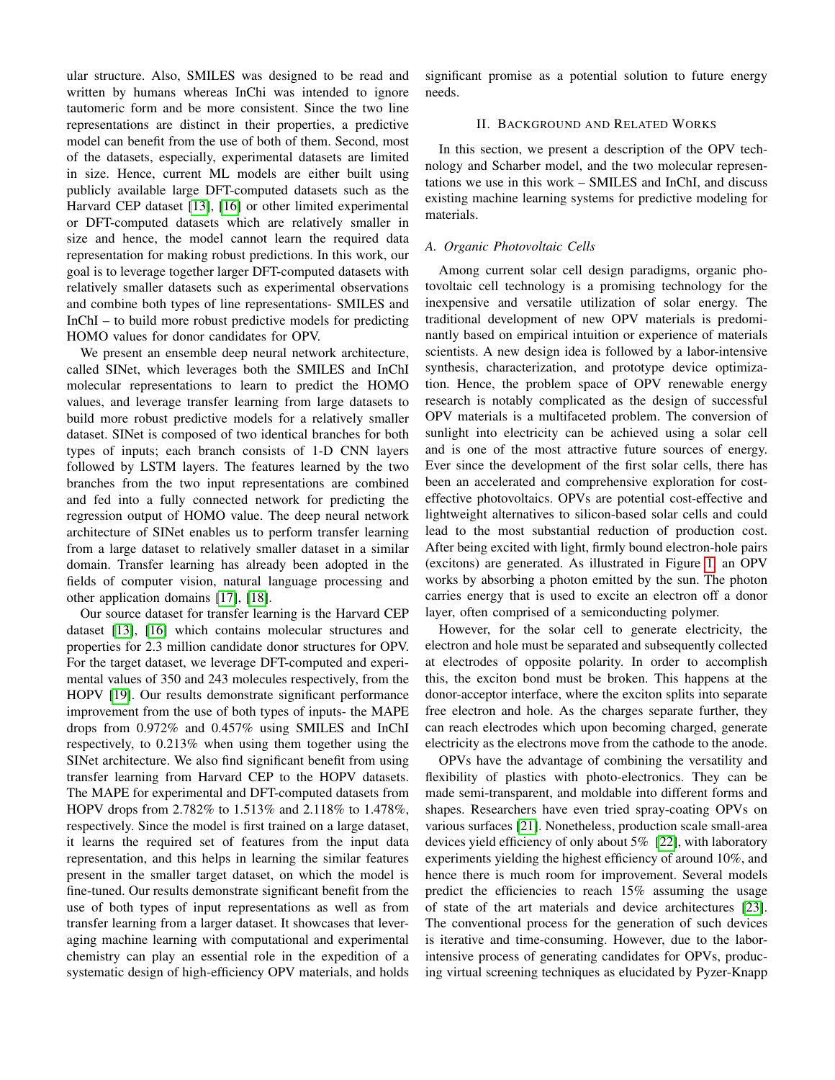ular structure. Also, SMILES was designed to be read and written by humans whereas InChi was intended to ignore tautomeric form and be more consistent. Since the two line representations are distinct in their properties, a predictive model can benefit from the use of both of them. Second, most of the datasets, especially, experimental datasets are limited in size. Hence, current ML models are either built using publicly available large DFT-computed datasets such as the Harvard CEP dataset [\[13\]](#page-7-5), [\[16\]](#page-7-8) or other limited experimental or DFT-computed datasets which are relatively smaller in size and hence, the model cannot learn the required data representation for making robust predictions. In this work, our goal is to leverage together larger DFT-computed datasets with relatively smaller datasets such as experimental observations and combine both types of line representations- SMILES and InChI – to build more robust predictive models for predicting HOMO values for donor candidates for OPV.

We present an ensemble deep neural network architecture, called SINet, which leverages both the SMILES and InChI molecular representations to learn to predict the HOMO values, and leverage transfer learning from large datasets to build more robust predictive models for a relatively smaller dataset. SINet is composed of two identical branches for both types of inputs; each branch consists of 1-D CNN layers followed by LSTM layers. The features learned by the two branches from the two input representations are combined and fed into a fully connected network for predicting the regression output of HOMO value. The deep neural network architecture of SINet enables us to perform transfer learning from a large dataset to relatively smaller dataset in a similar domain. Transfer learning has already been adopted in the fields of computer vision, natural language processing and other application domains [\[17\]](#page-7-9), [\[18\]](#page-7-10).

Our source dataset for transfer learning is the Harvard CEP dataset [\[13\]](#page-7-5), [\[16\]](#page-7-8) which contains molecular structures and properties for 2.3 million candidate donor structures for OPV. For the target dataset, we leverage DFT-computed and experimental values of 350 and 243 molecules respectively, from the HOPV [\[19\]](#page-7-11). Our results demonstrate significant performance improvement from the use of both types of inputs- the MAPE drops from 0.972% and 0.457% using SMILES and InChI respectively, to 0.213% when using them together using the SINet architecture. We also find significant benefit from using transfer learning from Harvard CEP to the HOPV datasets. The MAPE for experimental and DFT-computed datasets from HOPV drops from 2.782% to 1.513% and 2.118% to 1.478%, respectively. Since the model is first trained on a large dataset, it learns the required set of features from the input data representation, and this helps in learning the similar features present in the smaller target dataset, on which the model is fine-tuned. Our results demonstrate significant benefit from the use of both types of input representations as well as from transfer learning from a larger dataset. It showcases that leveraging machine learning with computational and experimental chemistry can play an essential role in the expedition of a systematic design of high-efficiency OPV materials, and holds significant promise as a potential solution to future energy needs.

#### II. BACKGROUND AND RELATED WORKS

In this section, we present a description of the OPV technology and Scharber model, and the two molecular representations we use in this work – SMILES and InChI, and discuss existing machine learning systems for predictive modeling for materials.

## *A. Organic Photovoltaic Cells*

Among current solar cell design paradigms, organic photovoltaic cell technology is a promising technology for the inexpensive and versatile utilization of solar energy. The traditional development of new OPV materials is predominantly based on empirical intuition or experience of materials scientists. A new design idea is followed by a labor-intensive synthesis, characterization, and prototype device optimization. Hence, the problem space of OPV renewable energy research is notably complicated as the design of successful OPV materials is a multifaceted problem. The conversion of sunlight into electricity can be achieved using a solar cell and is one of the most attractive future sources of energy. Ever since the development of the first solar cells, there has been an accelerated and comprehensive exploration for costeffective photovoltaics. OPVs are potential cost-effective and lightweight alternatives to silicon-based solar cells and could lead to the most substantial reduction of production cost. After being excited with light, firmly bound electron-hole pairs (excitons) are generated. As illustrated in Figure [1,](#page-2-0) an OPV works by absorbing a photon emitted by the sun. The photon carries energy that is used to excite an electron off a donor layer, often comprised of a semiconducting polymer.

However, for the solar cell to generate electricity, the electron and hole must be separated and subsequently collected at electrodes of opposite polarity. In order to accomplish this, the exciton bond must be broken. This happens at the donor-acceptor interface, where the exciton splits into separate free electron and hole. As the charges separate further, they can reach electrodes which upon becoming charged, generate electricity as the electrons move from the cathode to the anode.

OPVs have the advantage of combining the versatility and flexibility of plastics with photo-electronics. They can be made semi-transparent, and moldable into different forms and shapes. Researchers have even tried spray-coating OPVs on various surfaces [\[21\]](#page-7-12). Nonetheless, production scale small-area devices yield efficiency of only about 5% [\[22\]](#page-7-13), with laboratory experiments yielding the highest efficiency of around 10%, and hence there is much room for improvement. Several models predict the efficiencies to reach 15% assuming the usage of state of the art materials and device architectures [\[23\]](#page-7-14). The conventional process for the generation of such devices is iterative and time-consuming. However, due to the laborintensive process of generating candidates for OPVs, producing virtual screening techniques as elucidated by Pyzer-Knapp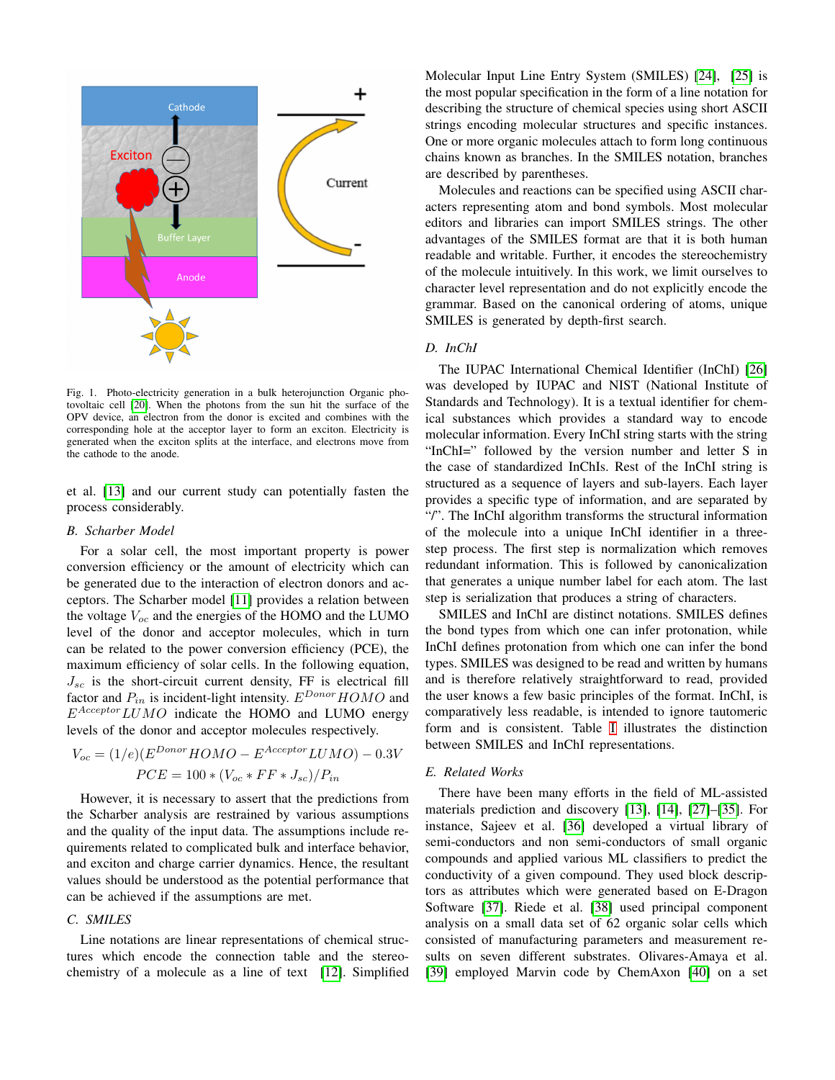

<span id="page-2-0"></span>Fig. 1. Photo-electricity generation in a bulk heterojunction Organic photovoltaic cell [\[20\]](#page-7-15). When the photons from the sun hit the surface of the OPV device, an electron from the donor is excited and combines with the corresponding hole at the acceptor layer to form an exciton. Electricity is generated when the exciton splits at the interface, and electrons move from the cathode to the anode.

et al. [\[13\]](#page-7-5) and our current study can potentially fasten the process considerably.

# *B. Scharber Model*

For a solar cell, the most important property is power conversion efficiency or the amount of electricity which can be generated due to the interaction of electron donors and acceptors. The Scharber model [\[11\]](#page-7-3) provides a relation between the voltage  $V_{oc}$  and the energies of the HOMO and the LUMO level of the donor and acceptor molecules, which in turn can be related to the power conversion efficiency (PCE), the maximum efficiency of solar cells. In the following equation,  $J_{sc}$  is the short-circuit current density, FF is electrical fill factor and  $P_{in}$  is incident-light intensity.  $E^{Donor}HOMO$  and  $E^{Acceptor} LUMO$  indicate the HOMO and LUMO energy levels of the donor and acceptor molecules respectively.

$$
V_{oc} = (1/e)(E^{Donor}HOMO - E^{Acceptor}LUMO) - 0.3V
$$

$$
PCE = 100 * (V_{oc} * FF * J_{sc})/P_{in}
$$

However, it is necessary to assert that the predictions from the Scharber analysis are restrained by various assumptions and the quality of the input data. The assumptions include requirements related to complicated bulk and interface behavior, and exciton and charge carrier dynamics. Hence, the resultant values should be understood as the potential performance that can be achieved if the assumptions are met.

# *C. SMILES*

Line notations are linear representations of chemical structures which encode the connection table and the stereochemistry of a molecule as a line of text [\[12\]](#page-7-4). Simplified Molecular Input Line Entry System (SMILES) [\[24\]](#page-7-16), [\[25\]](#page-7-17) is the most popular specification in the form of a line notation for describing the structure of chemical species using short ASCII strings encoding molecular structures and specific instances. One or more organic molecules attach to form long continuous chains known as branches. In the SMILES notation, branches are described by parentheses.

Molecules and reactions can be specified using ASCII characters representing atom and bond symbols. Most molecular editors and libraries can import SMILES strings. The other advantages of the SMILES format are that it is both human readable and writable. Further, it encodes the stereochemistry of the molecule intuitively. In this work, we limit ourselves to character level representation and do not explicitly encode the grammar. Based on the canonical ordering of atoms, unique SMILES is generated by depth-first search.

#### *D. InChI*

The IUPAC International Chemical Identifier (InChI) [\[26\]](#page-7-18) was developed by IUPAC and NIST (National Institute of Standards and Technology). It is a textual identifier for chemical substances which provides a standard way to encode molecular information. Every InChI string starts with the string "InChI=" followed by the version number and letter S in the case of standardized InChIs. Rest of the InChI string is structured as a sequence of layers and sub-layers. Each layer provides a specific type of information, and are separated by "/". The InChI algorithm transforms the structural information of the molecule into a unique InChI identifier in a threestep process. The first step is normalization which removes redundant information. This is followed by canonicalization that generates a unique number label for each atom. The last step is serialization that produces a string of characters.

SMILES and InChI are distinct notations. SMILES defines the bond types from which one can infer protonation, while InChI defines protonation from which one can infer the bond types. SMILES was designed to be read and written by humans and is therefore relatively straightforward to read, provided the user knows a few basic principles of the format. InChI, is comparatively less readable, is intended to ignore tautomeric form and is consistent. Table [I](#page-3-0) illustrates the distinction between SMILES and InChI representations.

#### *E. Related Works*

There have been many efforts in the field of ML-assisted materials prediction and discovery [\[13\]](#page-7-5), [\[14\]](#page-7-6), [\[27\]](#page-7-19)–[\[35\]](#page-7-20). For instance, Sajeev et al. [\[36\]](#page-7-21) developed a virtual library of semi-conductors and non semi-conductors of small organic compounds and applied various ML classifiers to predict the conductivity of a given compound. They used block descriptors as attributes which were generated based on E-Dragon Software [\[37\]](#page-7-22). Riede et al. [\[38\]](#page-7-23) used principal component analysis on a small data set of 62 organic solar cells which consisted of manufacturing parameters and measurement results on seven different substrates. Olivares-Amaya et al. [\[39\]](#page-7-24) employed Marvin code by ChemAxon [\[40\]](#page-7-25) on a set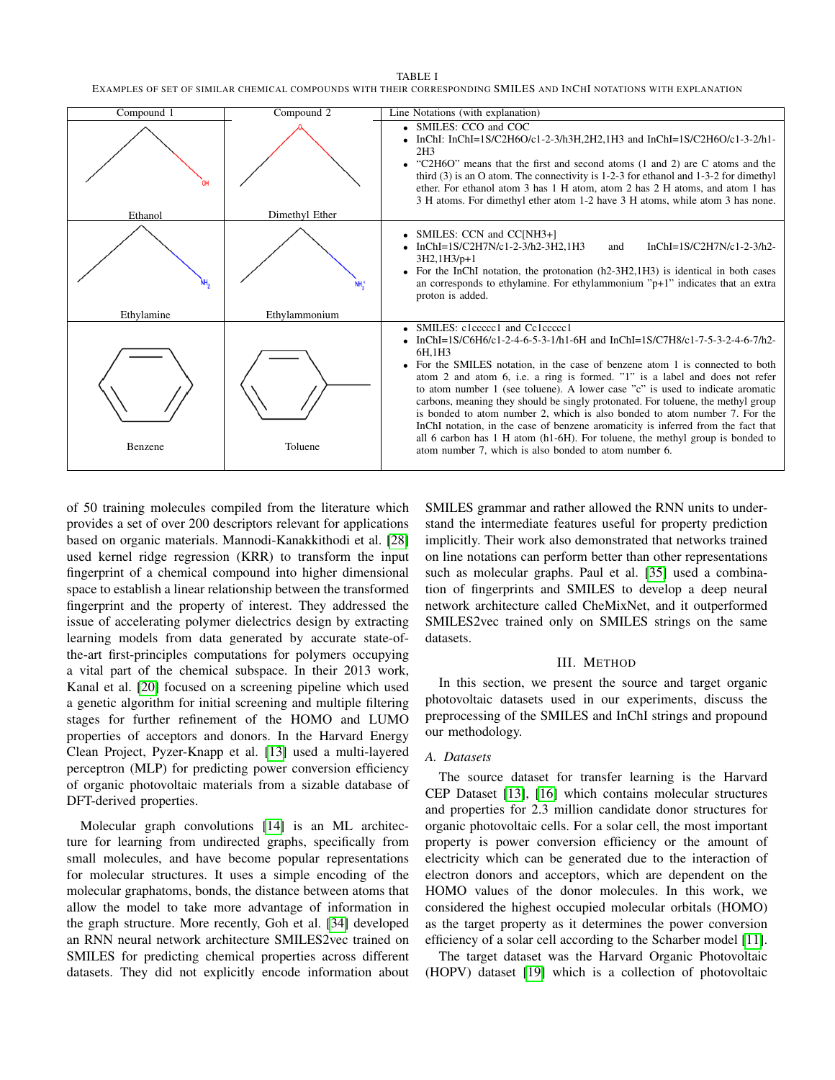TABLE I EXAMPLES OF SET OF SIMILAR CHEMICAL COMPOUNDS WITH THEIR CORRESPONDING SMILES AND INCHI NOTATIONS WITH EXPLANATION

<span id="page-3-0"></span>

| Compound 1            | Compound 2               | Line Notations (with explanation)                                                                                                                                                                                                                                                                                                                                                                                                                                                                                                                                                                                                                                                                                                                                      |
|-----------------------|--------------------------|------------------------------------------------------------------------------------------------------------------------------------------------------------------------------------------------------------------------------------------------------------------------------------------------------------------------------------------------------------------------------------------------------------------------------------------------------------------------------------------------------------------------------------------------------------------------------------------------------------------------------------------------------------------------------------------------------------------------------------------------------------------------|
| Ethanol               | Dimethyl Ether           | SMILES: CCO and COC<br>InChI: InChI=1S/C2H6O/c1-2-3/h3H,2H2,1H3 and InChI=1S/C2H6O/c1-3-2/h1-<br>2H <sub>3</sub><br>"C2H6O" means that the first and second atoms (1 and 2) are C atoms and the<br>third $(3)$ is an O atom. The connectivity is 1-2-3 for ethanol and 1-3-2 for dimethyl<br>ether. For ethanol atom 3 has 1 H atom, atom 2 has 2 H atoms, and atom 1 has<br>3 H atoms. For dimethyl ether atom 1-2 have 3 H atoms, while atom 3 has none.                                                                                                                                                                                                                                                                                                             |
|                       |                          | SMILES: CCN and CC[NH3+]<br>InChI=1S/C2H7N/c1-2-3/h2-3H2,1H3<br>InChI= $1S/C2H7N/c1-2-3/h2-$<br>and<br>3H2,1H3/p+1<br>For the InChI notation, the protonation (h2-3H2,1H3) is identical in both cases<br>$\bullet$<br>an corresponds to ethylamine. For ethylammonium " $p+1$ " indicates that an extra<br>proton is added.                                                                                                                                                                                                                                                                                                                                                                                                                                            |
| Ethylamine<br>Benzene | Ethylammonium<br>Toluene | SMILES: c1ccccc1 and Cc1ccccc1<br>InChI=1S/C6H6/c1-2-4-6-5-3-1/h1-6H and InChI=1S/C7H8/c1-7-5-3-2-4-6-7/h2-<br>6H.1H3<br>For the SMILES notation, in the case of benzene atom 1 is connected to both<br>atom 2 and atom 6, i.e. a ring is formed. "1" is a label and does not refer<br>to atom number 1 (see toluene). A lower case "c" is used to indicate aromatic<br>carbons, meaning they should be singly protonated. For toluene, the methyl group<br>is bonded to atom number 2, which is also bonded to atom number 7. For the<br>In ChI notation, in the case of benzene aromaticity is inferred from the fact that<br>all 6 carbon has 1 H atom (h1-6H). For toluene, the methyl group is bonded to<br>atom number 7, which is also bonded to atom number 6. |

of 50 training molecules compiled from the literature which provides a set of over 200 descriptors relevant for applications based on organic materials. Mannodi-Kanakkithodi et al. [\[28\]](#page-7-26) used kernel ridge regression (KRR) to transform the input fingerprint of a chemical compound into higher dimensional space to establish a linear relationship between the transformed fingerprint and the property of interest. They addressed the issue of accelerating polymer dielectrics design by extracting learning models from data generated by accurate state-ofthe-art first-principles computations for polymers occupying a vital part of the chemical subspace. In their 2013 work, Kanal et al. [\[20\]](#page-7-15) focused on a screening pipeline which used a genetic algorithm for initial screening and multiple filtering stages for further refinement of the HOMO and LUMO properties of acceptors and donors. In the Harvard Energy Clean Project, Pyzer-Knapp et al. [\[13\]](#page-7-5) used a multi-layered perceptron (MLP) for predicting power conversion efficiency of organic photovoltaic materials from a sizable database of DFT-derived properties.

Molecular graph convolutions [\[14\]](#page-7-6) is an ML architecture for learning from undirected graphs, specifically from small molecules, and have become popular representations for molecular structures. It uses a simple encoding of the molecular graphatoms, bonds, the distance between atoms that allow the model to take more advantage of information in the graph structure. More recently, Goh et al. [\[34\]](#page-7-27) developed an RNN neural network architecture SMILES2vec trained on SMILES for predicting chemical properties across different datasets. They did not explicitly encode information about SMILES grammar and rather allowed the RNN units to understand the intermediate features useful for property prediction implicitly. Their work also demonstrated that networks trained on line notations can perform better than other representations such as molecular graphs. Paul et al. [\[35\]](#page-7-20) used a combination of fingerprints and SMILES to develop a deep neural network architecture called CheMixNet, and it outperformed SMILES2vec trained only on SMILES strings on the same datasets.

#### III. METHOD

In this section, we present the source and target organic photovoltaic datasets used in our experiments, discuss the preprocessing of the SMILES and InChI strings and propound our methodology.

# *A. Datasets*

The source dataset for transfer learning is the Harvard CEP Dataset [\[13\]](#page-7-5), [\[16\]](#page-7-8) which contains molecular structures and properties for 2.3 million candidate donor structures for organic photovoltaic cells. For a solar cell, the most important property is power conversion efficiency or the amount of electricity which can be generated due to the interaction of electron donors and acceptors, which are dependent on the HOMO values of the donor molecules. In this work, we considered the highest occupied molecular orbitals (HOMO) as the target property as it determines the power conversion efficiency of a solar cell according to the Scharber model [\[11\]](#page-7-3).

The target dataset was the Harvard Organic Photovoltaic (HOPV) dataset [\[19\]](#page-7-11) which is a collection of photovoltaic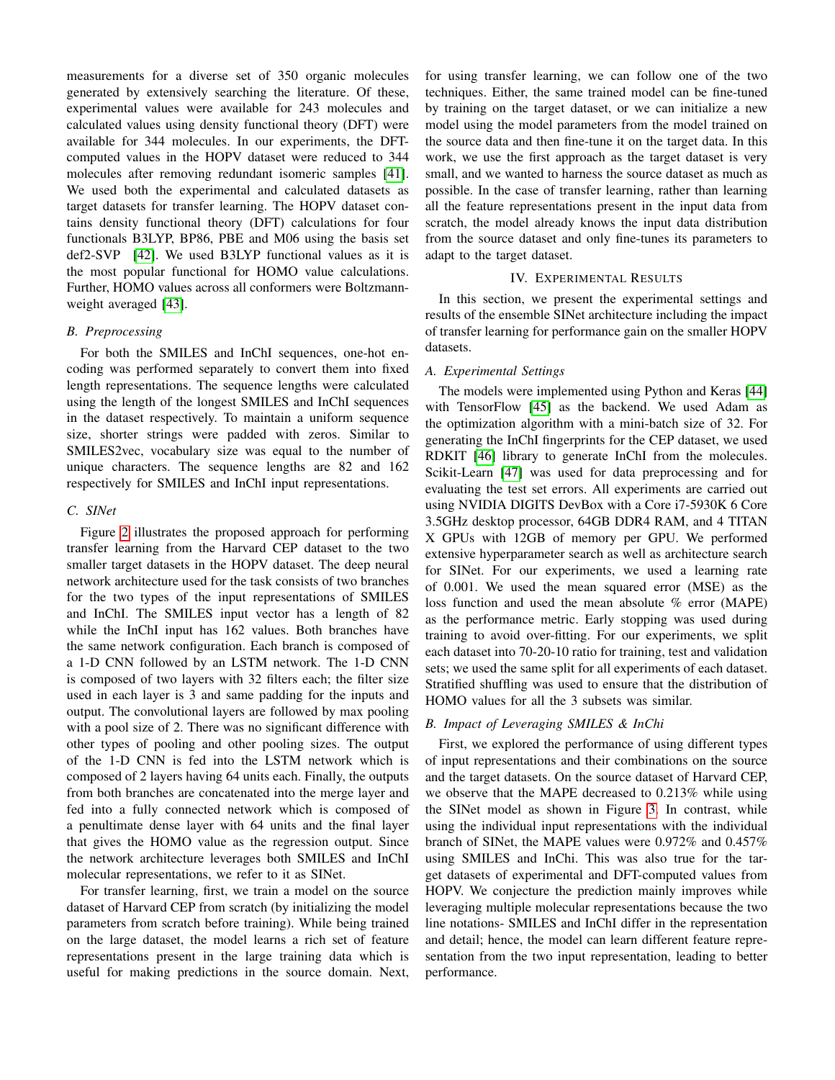measurements for a diverse set of 350 organic molecules generated by extensively searching the literature. Of these, experimental values were available for 243 molecules and calculated values using density functional theory (DFT) were available for 344 molecules. In our experiments, the DFTcomputed values in the HOPV dataset were reduced to 344 molecules after removing redundant isomeric samples [\[41\]](#page-7-28). We used both the experimental and calculated datasets as target datasets for transfer learning. The HOPV dataset contains density functional theory (DFT) calculations for four functionals B3LYP, BP86, PBE and M06 using the basis set def2-SVP [\[42\]](#page-7-29). We used B3LYP functional values as it is the most popular functional for HOMO value calculations. Further, HOMO values across all conformers were Boltzmannweight averaged [\[43\]](#page-7-30).

## *B. Preprocessing*

For both the SMILES and InChI sequences, one-hot encoding was performed separately to convert them into fixed length representations. The sequence lengths were calculated using the length of the longest SMILES and InChI sequences in the dataset respectively. To maintain a uniform sequence size, shorter strings were padded with zeros. Similar to SMILES2vec, vocabulary size was equal to the number of unique characters. The sequence lengths are 82 and 162 respectively for SMILES and InChI input representations.

## *C. SINet*

Figure [2](#page-5-0) illustrates the proposed approach for performing transfer learning from the Harvard CEP dataset to the two smaller target datasets in the HOPV dataset. The deep neural network architecture used for the task consists of two branches for the two types of the input representations of SMILES and InChI. The SMILES input vector has a length of 82 while the InChI input has 162 values. Both branches have the same network configuration. Each branch is composed of a 1-D CNN followed by an LSTM network. The 1-D CNN is composed of two layers with 32 filters each; the filter size used in each layer is 3 and same padding for the inputs and output. The convolutional layers are followed by max pooling with a pool size of 2. There was no significant difference with other types of pooling and other pooling sizes. The output of the 1-D CNN is fed into the LSTM network which is composed of 2 layers having 64 units each. Finally, the outputs from both branches are concatenated into the merge layer and fed into a fully connected network which is composed of a penultimate dense layer with 64 units and the final layer that gives the HOMO value as the regression output. Since the network architecture leverages both SMILES and InChI molecular representations, we refer to it as SINet.

For transfer learning, first, we train a model on the source dataset of Harvard CEP from scratch (by initializing the model parameters from scratch before training). While being trained on the large dataset, the model learns a rich set of feature representations present in the large training data which is useful for making predictions in the source domain. Next, for using transfer learning, we can follow one of the two techniques. Either, the same trained model can be fine-tuned by training on the target dataset, or we can initialize a new model using the model parameters from the model trained on the source data and then fine-tune it on the target data. In this work, we use the first approach as the target dataset is very small, and we wanted to harness the source dataset as much as possible. In the case of transfer learning, rather than learning all the feature representations present in the input data from scratch, the model already knows the input data distribution from the source dataset and only fine-tunes its parameters to adapt to the target dataset.

# IV. EXPERIMENTAL RESULTS

In this section, we present the experimental settings and results of the ensemble SINet architecture including the impact of transfer learning for performance gain on the smaller HOPV datasets.

# *A. Experimental Settings*

The models were implemented using Python and Keras [\[44\]](#page-7-31) with TensorFlow [\[45\]](#page-7-32) as the backend. We used Adam as the optimization algorithm with a mini-batch size of 32. For generating the InChI fingerprints for the CEP dataset, we used RDKIT [\[46\]](#page-7-33) library to generate InChI from the molecules. Scikit-Learn [\[47\]](#page-7-34) was used for data preprocessing and for evaluating the test set errors. All experiments are carried out using NVIDIA DIGITS DevBox with a Core i7-5930K 6 Core 3.5GHz desktop processor, 64GB DDR4 RAM, and 4 TITAN X GPUs with 12GB of memory per GPU. We performed extensive hyperparameter search as well as architecture search for SINet. For our experiments, we used a learning rate of 0.001. We used the mean squared error (MSE) as the loss function and used the mean absolute % error (MAPE) as the performance metric. Early stopping was used during training to avoid over-fitting. For our experiments, we split each dataset into 70-20-10 ratio for training, test and validation sets; we used the same split for all experiments of each dataset. Stratified shuffling was used to ensure that the distribution of HOMO values for all the 3 subsets was similar.

## *B. Impact of Leveraging SMILES & InChi*

First, we explored the performance of using different types of input representations and their combinations on the source and the target datasets. On the source dataset of Harvard CEP, we observe that the MAPE decreased to 0.213% while using the SINet model as shown in Figure [3.](#page-5-1) In contrast, while using the individual input representations with the individual branch of SINet, the MAPE values were 0.972% and 0.457% using SMILES and InChi. This was also true for the target datasets of experimental and DFT-computed values from HOPV. We conjecture the prediction mainly improves while leveraging multiple molecular representations because the two line notations- SMILES and InChI differ in the representation and detail; hence, the model can learn different feature representation from the two input representation, leading to better performance.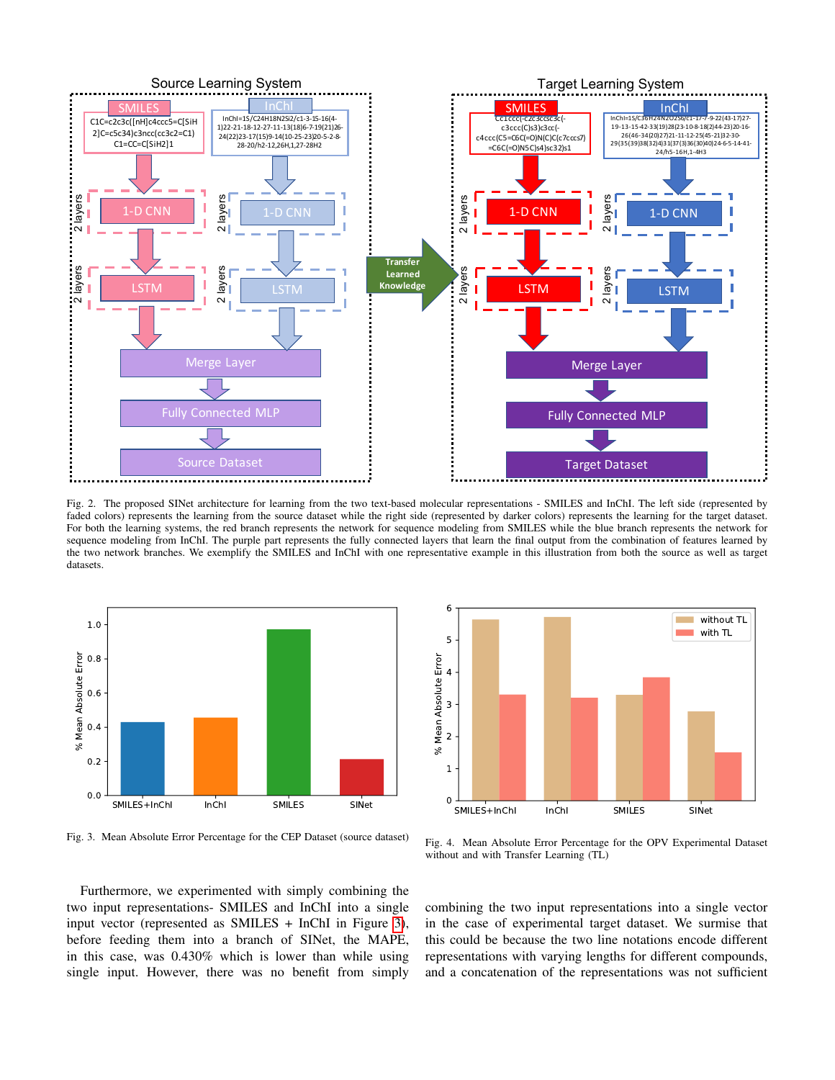

<span id="page-5-0"></span>Fig. 2. The proposed SINet architecture for learning from the two text-based molecular representations - SMILES and InChI. The left side (represented by faded colors) represents the learning from the source dataset while the right side (represented by darker colors) represents the learning for the target dataset. For both the learning systems, the red branch represents the network for sequence modeling from SMILES while the blue branch represents the network for sequence modeling from InChI. The purple part represents the fully connected layers that learn the final output from the combination of features learned by the two network branches. We exemplify the SMILES and InChI with one representative example in this illustration from both the source as well as target datasets.



<span id="page-5-1"></span>Fig. 3. Mean Absolute Error Percentage for the CEP Dataset (source dataset)



<span id="page-5-2"></span>Fig. 4. Mean Absolute Error Percentage for the OPV Experimental Dataset without and with Transfer Learning (TL)

Furthermore, we experimented with simply combining the two input representations- SMILES and InChI into a single input vector (represented as SMILES + InChI in Figure [3\)](#page-5-1), before feeding them into a branch of SINet, the MAPE, in this case, was 0.430% which is lower than while using single input. However, there was no benefit from simply

combining the two input representations into a single vector in the case of experimental target dataset. We surmise that this could be because the two line notations encode different representations with varying lengths for different compounds, and a concatenation of the representations was not sufficient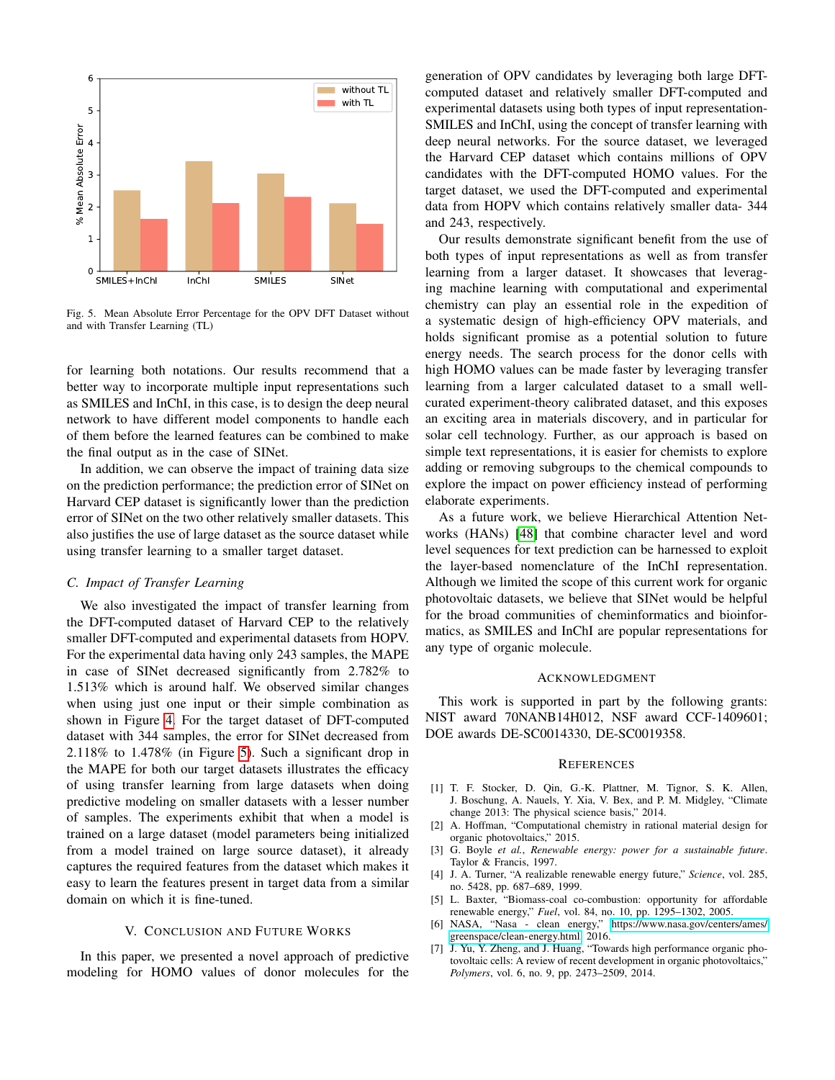

<span id="page-6-7"></span>Fig. 5. Mean Absolute Error Percentage for the OPV DFT Dataset without and with Transfer Learning (TL)

for learning both notations. Our results recommend that a better way to incorporate multiple input representations such as SMILES and InChI, in this case, is to design the deep neural network to have different model components to handle each of them before the learned features can be combined to make the final output as in the case of SINet.

In addition, we can observe the impact of training data size on the prediction performance; the prediction error of SINet on Harvard CEP dataset is significantly lower than the prediction error of SINet on the two other relatively smaller datasets. This also justifies the use of large dataset as the source dataset while using transfer learning to a smaller target dataset.

## *C. Impact of Transfer Learning*

We also investigated the impact of transfer learning from the DFT-computed dataset of Harvard CEP to the relatively smaller DFT-computed and experimental datasets from HOPV. For the experimental data having only 243 samples, the MAPE in case of SINet decreased significantly from 2.782% to 1.513% which is around half. We observed similar changes when using just one input or their simple combination as shown in Figure [4.](#page-5-2) For the target dataset of DFT-computed dataset with 344 samples, the error for SINet decreased from 2.118% to 1.478% (in Figure [5\)](#page-6-7). Such a significant drop in the MAPE for both our target datasets illustrates the efficacy of using transfer learning from large datasets when doing predictive modeling on smaller datasets with a lesser number of samples. The experiments exhibit that when a model is trained on a large dataset (model parameters being initialized from a model trained on large source dataset), it already captures the required features from the dataset which makes it easy to learn the features present in target data from a similar domain on which it is fine-tuned.

## V. CONCLUSION AND FUTURE WORKS

In this paper, we presented a novel approach of predictive modeling for HOMO values of donor molecules for the generation of OPV candidates by leveraging both large DFTcomputed dataset and relatively smaller DFT-computed and experimental datasets using both types of input representation-SMILES and InChI, using the concept of transfer learning with deep neural networks. For the source dataset, we leveraged the Harvard CEP dataset which contains millions of OPV candidates with the DFT-computed HOMO values. For the target dataset, we used the DFT-computed and experimental data from HOPV which contains relatively smaller data- 344 and 243, respectively.

Our results demonstrate significant benefit from the use of both types of input representations as well as from transfer learning from a larger dataset. It showcases that leveraging machine learning with computational and experimental chemistry can play an essential role in the expedition of a systematic design of high-efficiency OPV materials, and holds significant promise as a potential solution to future energy needs. The search process for the donor cells with high HOMO values can be made faster by leveraging transfer learning from a larger calculated dataset to a small wellcurated experiment-theory calibrated dataset, and this exposes an exciting area in materials discovery, and in particular for solar cell technology. Further, as our approach is based on simple text representations, it is easier for chemists to explore adding or removing subgroups to the chemical compounds to explore the impact on power efficiency instead of performing elaborate experiments.

As a future work, we believe Hierarchical Attention Networks (HANs) [\[48\]](#page-7-35) that combine character level and word level sequences for text prediction can be harnessed to exploit the layer-based nomenclature of the InChI representation. Although we limited the scope of this current work for organic photovoltaic datasets, we believe that SINet would be helpful for the broad communities of cheminformatics and bioinformatics, as SMILES and InChI are popular representations for any type of organic molecule.

## ACKNOWLEDGMENT

This work is supported in part by the following grants: NIST award 70NANB14H012, NSF award CCF-1409601; DOE awards DE-SC0014330, DE-SC0019358.

#### **REFERENCES**

- <span id="page-6-0"></span>[1] T. F. Stocker, D. Qin, G.-K. Plattner, M. Tignor, S. K. Allen, J. Boschung, A. Nauels, Y. Xia, V. Bex, and P. M. Midgley, "Climate change 2013: The physical science basis," 2014.
- <span id="page-6-1"></span>[2] A. Hoffman, "Computational chemistry in rational material design for organic photovoltaics," 2015.
- <span id="page-6-2"></span>[3] G. Boyle *et al.*, *Renewable energy: power for a sustainable future*. Taylor & Francis, 1997.
- <span id="page-6-3"></span>[4] J. A. Turner, "A realizable renewable energy future," *Science*, vol. 285, no. 5428, pp. 687–689, 1999.
- <span id="page-6-4"></span>[5] L. Baxter, "Biomass-coal co-combustion: opportunity for affordable renewable energy," *Fuel*, vol. 84, no. 10, pp. 1295–1302, 2005.
- <span id="page-6-5"></span>[6] NASA, "Nasa - clean energy," [https://www.nasa.gov/centers/ames/](https://www.nasa.gov/centers/ames/greenspace/clean-energy.html) [greenspace/clean-energy.html,](https://www.nasa.gov/centers/ames/greenspace/clean-energy.html) 2016.
- <span id="page-6-6"></span>[7] J. Yu, Y. Zheng, and J. Huang, "Towards high performance organic photovoltaic cells: A review of recent development in organic photovoltaics," *Polymers*, vol. 6, no. 9, pp. 2473–2509, 2014.